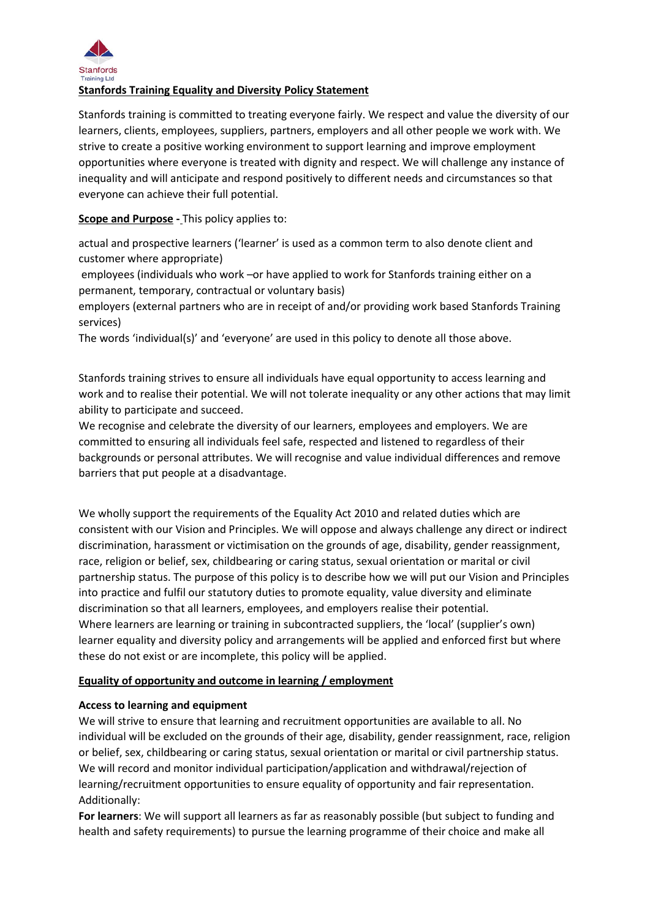

# **Stanfords Training Equality and Diversity Policy Statement**

Stanfords training is committed to treating everyone fairly. We respect and value the diversity of our learners, clients, employees, suppliers, partners, employers and all other people we work with. We strive to create a positive working environment to support learning and improve employment opportunities where everyone is treated with dignity and respect. We will challenge any instance of inequality and will anticipate and respond positively to different needs and circumstances so that everyone can achieve their full potential.

**Scope and Purpose -** This policy applies to:

actual and prospective learners ('learner' is used as a common term to also denote client and customer where appropriate)

employees (individuals who work –or have applied to work for Stanfords training either on a permanent, temporary, contractual or voluntary basis)

employers (external partners who are in receipt of and/or providing work based Stanfords Training services)

The words 'individual(s)' and 'everyone' are used in this policy to denote all those above.

Stanfords training strives to ensure all individuals have equal opportunity to access learning and work and to realise their potential. We will not tolerate inequality or any other actions that may limit ability to participate and succeed.

We recognise and celebrate the diversity of our learners, employees and employers. We are committed to ensuring all individuals feel safe, respected and listened to regardless of their backgrounds or personal attributes. We will recognise and value individual differences and remove barriers that put people at a disadvantage.

We wholly support the requirements of the Equality Act 2010 and related duties which are consistent with our Vision and Principles. We will oppose and always challenge any direct or indirect discrimination, harassment or victimisation on the grounds of age, disability, gender reassignment, race, religion or belief, sex, childbearing or caring status, sexual orientation or marital or civil partnership status. The purpose of this policy is to describe how we will put our Vision and Principles into practice and fulfil our statutory duties to promote equality, value diversity and eliminate discrimination so that all learners, employees, and employers realise their potential. Where learners are learning or training in subcontracted suppliers, the 'local' (supplier's own) learner equality and diversity policy and arrangements will be applied and enforced first but where these do not exist or are incomplete, this policy will be applied.

# **Equality of opportunity and outcome in learning / employment**

#### **Access to learning and equipment**

We will strive to ensure that learning and recruitment opportunities are available to all. No individual will be excluded on the grounds of their age, disability, gender reassignment, race, religion or belief, sex, childbearing or caring status, sexual orientation or marital or civil partnership status. We will record and monitor individual participation/application and withdrawal/rejection of learning/recruitment opportunities to ensure equality of opportunity and fair representation. Additionally:

**For learners**: We will support all learners as far as reasonably possible (but subject to funding and health and safety requirements) to pursue the learning programme of their choice and make all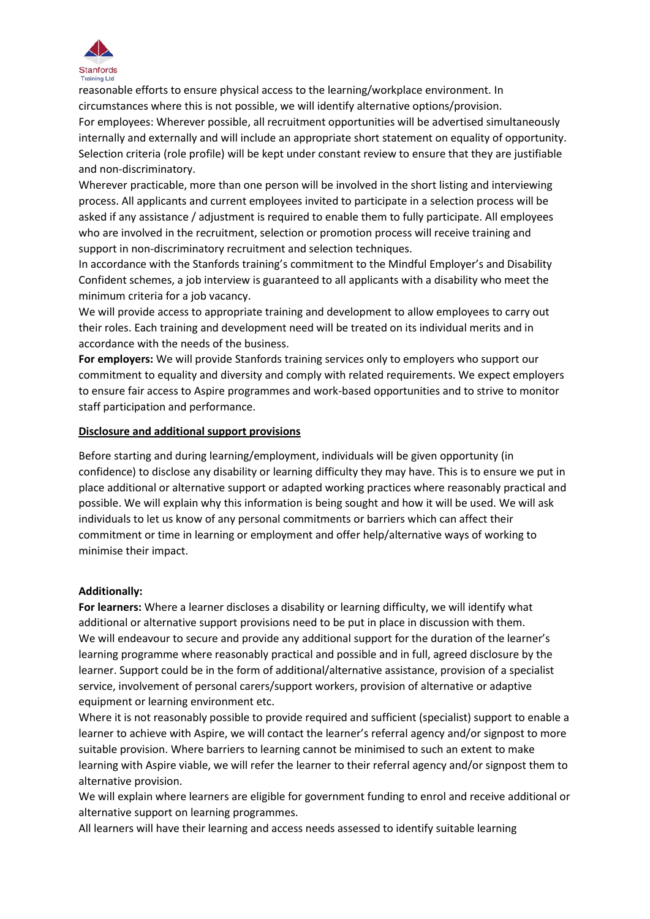

reasonable efforts to ensure physical access to the learning/workplace environment. In circumstances where this is not possible, we will identify alternative options/provision. For employees: Wherever possible, all recruitment opportunities will be advertised simultaneously internally and externally and will include an appropriate short statement on equality of opportunity. Selection criteria (role profile) will be kept under constant review to ensure that they are justifiable and non-discriminatory.

Wherever practicable, more than one person will be involved in the short listing and interviewing process. All applicants and current employees invited to participate in a selection process will be asked if any assistance / adjustment is required to enable them to fully participate. All employees who are involved in the recruitment, selection or promotion process will receive training and support in non-discriminatory recruitment and selection techniques.

In accordance with the Stanfords training's commitment to the Mindful Employer's and Disability Confident schemes, a job interview is guaranteed to all applicants with a disability who meet the minimum criteria for a job vacancy.

We will provide access to appropriate training and development to allow employees to carry out their roles. Each training and development need will be treated on its individual merits and in accordance with the needs of the business.

**For employers:** We will provide Stanfords training services only to employers who support our commitment to equality and diversity and comply with related requirements. We expect employers to ensure fair access to Aspire programmes and work-based opportunities and to strive to monitor staff participation and performance.

### **Disclosure and additional support provisions**

Before starting and during learning/employment, individuals will be given opportunity (in confidence) to disclose any disability or learning difficulty they may have. This is to ensure we put in place additional or alternative support or adapted working practices where reasonably practical and possible. We will explain why this information is being sought and how it will be used. We will ask individuals to let us know of any personal commitments or barriers which can affect their commitment or time in learning or employment and offer help/alternative ways of working to minimise their impact.

#### **Additionally:**

**For learners:** Where a learner discloses a disability or learning difficulty, we will identify what additional or alternative support provisions need to be put in place in discussion with them. We will endeavour to secure and provide any additional support for the duration of the learner's learning programme where reasonably practical and possible and in full, agreed disclosure by the learner. Support could be in the form of additional/alternative assistance, provision of a specialist service, involvement of personal carers/support workers, provision of alternative or adaptive equipment or learning environment etc.

Where it is not reasonably possible to provide required and sufficient (specialist) support to enable a learner to achieve with Aspire, we will contact the learner's referral agency and/or signpost to more suitable provision. Where barriers to learning cannot be minimised to such an extent to make learning with Aspire viable, we will refer the learner to their referral agency and/or signpost them to alternative provision.

We will explain where learners are eligible for government funding to enrol and receive additional or alternative support on learning programmes.

All learners will have their learning and access needs assessed to identify suitable learning